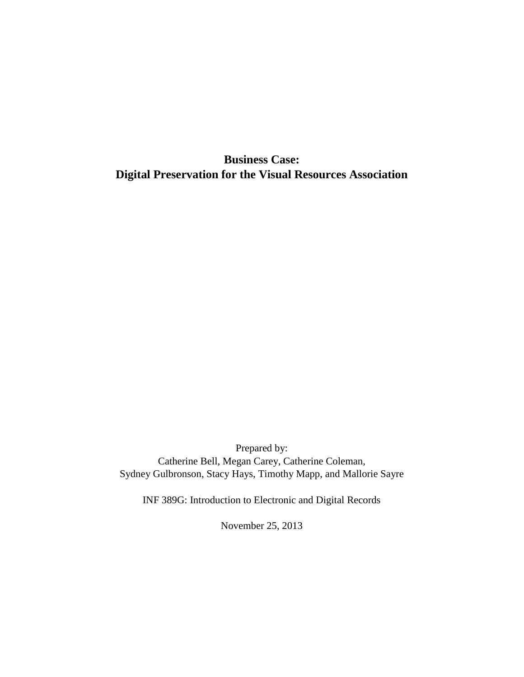**Business Case: Digital Preservation for the Visual Resources Association**

Prepared by: Catherine Bell, Megan Carey, Catherine Coleman, Sydney Gulbronson, Stacy Hays, Timothy Mapp, and Mallorie Sayre

INF 389G: Introduction to Electronic and Digital Records

November 25, 2013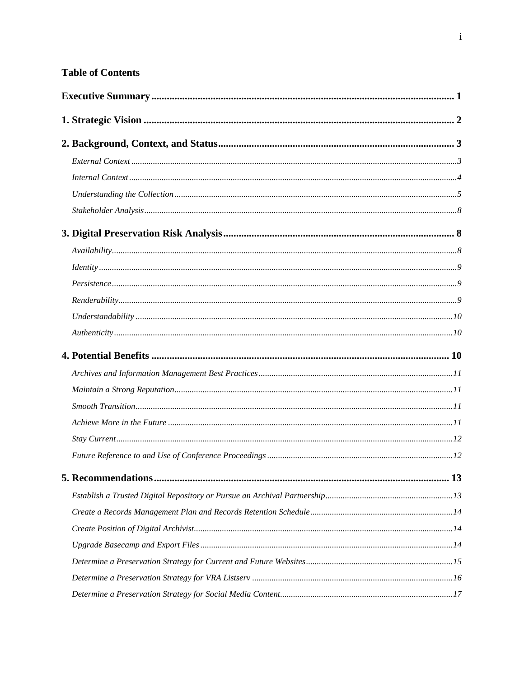# **Table of Contents**

| Understanding: 10                                                                                                                                                                                                                                                                                                                                                                                                                                                                                                                                                                                                   |  |
|---------------------------------------------------------------------------------------------------------------------------------------------------------------------------------------------------------------------------------------------------------------------------------------------------------------------------------------------------------------------------------------------------------------------------------------------------------------------------------------------------------------------------------------------------------------------------------------------------------------------|--|
|                                                                                                                                                                                                                                                                                                                                                                                                                                                                                                                                                                                                                     |  |
|                                                                                                                                                                                                                                                                                                                                                                                                                                                                                                                                                                                                                     |  |
|                                                                                                                                                                                                                                                                                                                                                                                                                                                                                                                                                                                                                     |  |
|                                                                                                                                                                                                                                                                                                                                                                                                                                                                                                                                                                                                                     |  |
| $\emph{Smooth Transition} \normalsize\dots\normalsize\dots\normalsize\dots\normalsize\dots\normalsize\dots\normalsize\dots\normalsize\dots\normalsize\dots\normalsize\dots\normalsize\dots\normalsize\dots\normalsize\dots\normalsize\dots\normalsize\dots\normalsize\dots\normalsize\dots\normalsize\dots\normalsize\dots\normalsize\dots\normalsize\dots\normalsize\dots\normalsize\dots\normalsize\dots\normalsize\dots\normalsize\dots\normalsize\dots\normalsize\dots\normalsize\dots\normalsize\dots\normalsize\dots\normalsize\dots\normalsize\dots\normalsize\dots\normalsize\dots\normalsize\dots\normals$ |  |
|                                                                                                                                                                                                                                                                                                                                                                                                                                                                                                                                                                                                                     |  |
|                                                                                                                                                                                                                                                                                                                                                                                                                                                                                                                                                                                                                     |  |
|                                                                                                                                                                                                                                                                                                                                                                                                                                                                                                                                                                                                                     |  |
|                                                                                                                                                                                                                                                                                                                                                                                                                                                                                                                                                                                                                     |  |
|                                                                                                                                                                                                                                                                                                                                                                                                                                                                                                                                                                                                                     |  |
|                                                                                                                                                                                                                                                                                                                                                                                                                                                                                                                                                                                                                     |  |
|                                                                                                                                                                                                                                                                                                                                                                                                                                                                                                                                                                                                                     |  |
|                                                                                                                                                                                                                                                                                                                                                                                                                                                                                                                                                                                                                     |  |
|                                                                                                                                                                                                                                                                                                                                                                                                                                                                                                                                                                                                                     |  |
|                                                                                                                                                                                                                                                                                                                                                                                                                                                                                                                                                                                                                     |  |
|                                                                                                                                                                                                                                                                                                                                                                                                                                                                                                                                                                                                                     |  |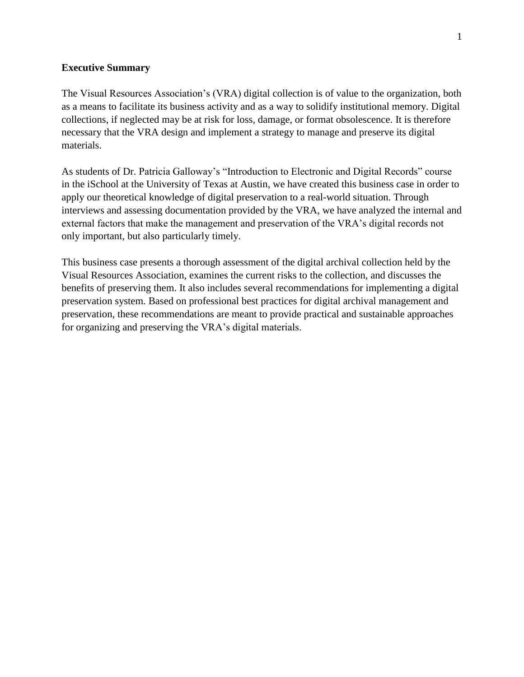#### <span id="page-3-0"></span>**Executive Summary**

The Visual Resources Association's (VRA) digital collection is of value to the organization, both as a means to facilitate its business activity and as a way to solidify institutional memory. Digital collections, if neglected may be at risk for loss, damage, or format obsolescence. It is therefore necessary that the VRA design and implement a strategy to manage and preserve its digital materials.

As students of Dr. Patricia Galloway's "Introduction to Electronic and Digital Records" course in the iSchool at the University of Texas at Austin, we have created this business case in order to apply our theoretical knowledge of digital preservation to a real-world situation. Through interviews and assessing documentation provided by the VRA, we have analyzed the internal and external factors that make the management and preservation of the VRA's digital records not only important, but also particularly timely.

This business case presents a thorough assessment of the digital archival collection held by the Visual Resources Association, examines the current risks to the collection, and discusses the benefits of preserving them. It also includes several recommendations for implementing a digital preservation system. Based on professional best practices for digital archival management and preservation, these recommendations are meant to provide practical and sustainable approaches for organizing and preserving the VRA's digital materials.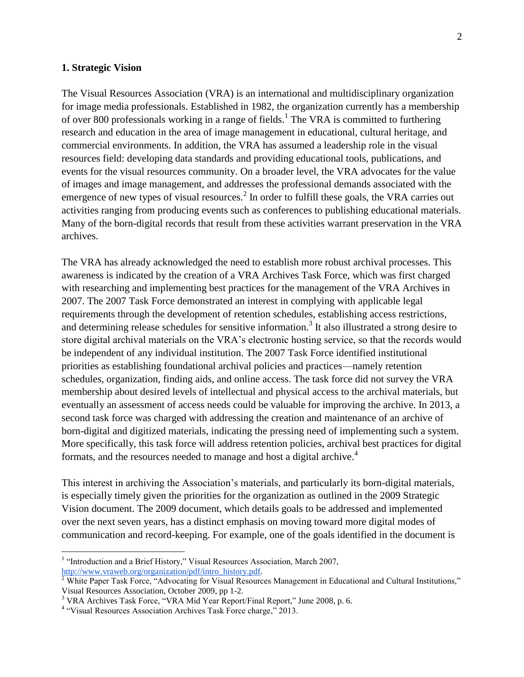#### <span id="page-4-0"></span>**1. Strategic Vision**

The Visual Resources Association (VRA) is an international and multidisciplinary organization for image media professionals. Established in 1982, the organization currently has a membership of over 800 professionals working in a range of fields.<sup>1</sup> The VRA is committed to furthering research and education in the area of image management in educational, cultural heritage, and commercial environments. In addition, the VRA has assumed a leadership role in the visual resources field: developing data standards and providing educational tools, publications, and events for the visual resources community. On a broader level, the VRA advocates for the value of images and image management, and addresses the professional demands associated with the emergence of new types of visual resources.<sup>2</sup> In order to fulfill these goals, the VRA carries out activities ranging from producing events such as conferences to publishing educational materials. Many of the born-digital records that result from these activities warrant preservation in the VRA archives.

The VRA has already acknowledged the need to establish more robust archival processes. This awareness is indicated by the creation of a VRA Archives Task Force, which was first charged with researching and implementing best practices for the management of the VRA Archives in 2007. The 2007 Task Force demonstrated an interest in complying with applicable legal requirements through the development of retention schedules, establishing access restrictions, and determining release schedules for sensitive information.<sup>3</sup> It also illustrated a strong desire to store digital archival materials on the VRA's electronic hosting service, so that the records would be independent of any individual institution. The 2007 Task Force identified institutional priorities as establishing foundational archival policies and practices—namely retention schedules, organization, finding aids, and online access. The task force did not survey the VRA membership about desired levels of intellectual and physical access to the archival materials, but eventually an assessment of access needs could be valuable for improving the archive. In 2013, a second task force was charged with addressing the creation and maintenance of an archive of born-digital and digitized materials, indicating the pressing need of implementing such a system. More specifically, this task force will address retention policies, archival best practices for digital formats, and the resources needed to manage and host a digital archive.<sup>4</sup>

This interest in archiving the Association's materials, and particularly its born-digital materials, is especially timely given the priorities for the organization as outlined in the 2009 Strategic Vision document. The 2009 document, which details goals to be addressed and implemented over the next seven years, has a distinct emphasis on moving toward more digital modes of communication and record-keeping. For example, one of the goals identified in the document is

 $\overline{a}$ 

<sup>&</sup>lt;sup>1</sup> "Introduction and a Brief History," Visual Resources Association, March 2007, [http://www.vraweb.org/organization/pdf/intro\\_history.pdf.](http://www.vraweb.org/organization/pdf/intro_history.pdf)

<sup>&</sup>lt;sup>2</sup> White Paper Task Force, "Advocating for Visual Resources Management in Educational and Cultural Institutions," Visual Resources Association, October 2009, pp 1-2.

<sup>&</sup>lt;sup>3</sup> VRA Archives Task Force, "VRA Mid Year Report/Final Report," June 2008, p. 6.

<sup>&</sup>lt;sup>4</sup> "Visual Resources Association Archives Task Force charge," 2013.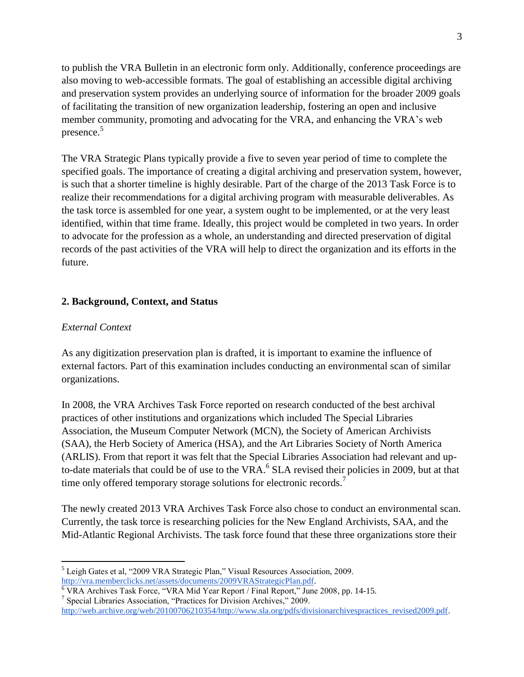to publish the VRA Bulletin in an electronic form only. Additionally, conference proceedings are also moving to web-accessible formats. The goal of establishing an accessible digital archiving and preservation system provides an underlying source of information for the broader 2009 goals of facilitating the transition of new organization leadership, fostering an open and inclusive member community, promoting and advocating for the VRA, and enhancing the VRA's web presence.<sup>5</sup>

The VRA Strategic Plans typically provide a five to seven year period of time to complete the specified goals. The importance of creating a digital archiving and preservation system, however, is such that a shorter timeline is highly desirable. Part of the charge of the 2013 Task Force is to realize their recommendations for a digital archiving program with measurable deliverables. As the task torce is assembled for one year, a system ought to be implemented, or at the very least identified, within that time frame. Ideally, this project would be completed in two years. In order to advocate for the profession as a whole, an understanding and directed preservation of digital records of the past activities of the VRA will help to direct the organization and its efforts in the future.

### <span id="page-5-0"></span>**2. Background, Context, and Status**

#### <span id="page-5-1"></span>*External Context*

 $\overline{a}$ 

As any digitization preservation plan is drafted, it is important to examine the influence of external factors. Part of this examination includes conducting an environmental scan of similar organizations.

In 2008, the VRA Archives Task Force reported on research conducted of the best archival practices of other institutions and organizations which included The Special Libraries Association, the Museum Computer Network (MCN), the Society of American Archivists (SAA), the Herb Society of America (HSA), and the Art Libraries Society of North America (ARLIS). From that report it was felt that the Special Libraries Association had relevant and upto-date materials that could be of use to the VRA.<sup>6</sup> SLA revised their policies in 2009, but at that time only offered temporary storage solutions for electronic records.<sup>7</sup>

The newly created 2013 VRA Archives Task Force also chose to conduct an environmental scan. Currently, the task torce is researching policies for the New England Archivists, SAA, and the Mid-Atlantic Regional Archivists. The task force found that these three organizations store their

<sup>5</sup> Leigh Gates et al, "2009 VRA Strategic Plan," Visual Resources Association, 2009. [http://vra.memberclicks.net/assets/documents/2009VRAStrategicPlan.pdf.](http://vra.memberclicks.net/assets/documents/2009VRAStrategicPlan.pdf)

 $\overline{6}$  VRA Archives Task Force, "VRA Mid Year Report / Final Report," June 2008, pp. 14-15.

<sup>7</sup> Special Libraries Association, "Practices for Division Archives," 2009. [http://web.archive.org/web/20100706210354/http://www.sla.org/pdfs/divisionarchivespractices\\_revised2009.pdf.](http://web.archive.org/web/20100706210354/http:/www.sla.org/pdfs/divisionarchivespractices_revised2009.pdf)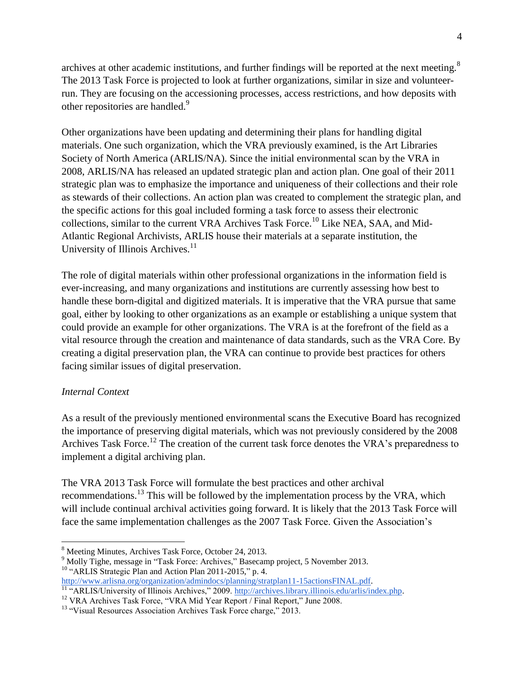archives at other academic institutions, and further findings will be reported at the next meeting.<sup>8</sup> The 2013 Task Force is projected to look at further organizations, similar in size and volunteerrun. They are focusing on the accessioning processes, access restrictions, and how deposits with other repositories are handled.<sup>9</sup>

Other organizations have been updating and determining their plans for handling digital materials. One such organization, which the VRA previously examined, is the Art Libraries Society of North America (ARLIS/NA). Since the initial environmental scan by the VRA in 2008, ARLIS/NA has released an updated strategic plan and action plan. One goal of their 2011 strategic plan was to emphasize the importance and uniqueness of their collections and their role as stewards of their collections. An action plan was created to complement the strategic plan, and the specific actions for this goal included forming a task force to assess their electronic collections, similar to the current VRA Archives Task Force.<sup>10</sup> Like NEA, SAA, and Mid-Atlantic Regional Archivists, ARLIS house their materials at a separate institution, the University of Illinois Archives.<sup>11</sup>

The role of digital materials within other professional organizations in the information field is ever-increasing, and many organizations and institutions are currently assessing how best to handle these born-digital and digitized materials. It is imperative that the VRA pursue that same goal, either by looking to other organizations as an example or establishing a unique system that could provide an example for other organizations. The VRA is at the forefront of the field as a vital resource through the creation and maintenance of data standards, such as the VRA Core. By creating a digital preservation plan, the VRA can continue to provide best practices for others facing similar issues of digital preservation.

### <span id="page-6-0"></span>*Internal Context*

 $\overline{a}$ 

As a result of the previously mentioned environmental scans the Executive Board has recognized the importance of preserving digital materials, which was not previously considered by the 2008 Archives Task Force.<sup>12</sup> The creation of the current task force denotes the VRA's preparedness to implement a digital archiving plan.

The VRA 2013 Task Force will formulate the best practices and other archival recommendations.<sup>13</sup> This will be followed by the implementation process by the VRA, which will include continual archival activities going forward. It is likely that the 2013 Task Force will face the same implementation challenges as the 2007 Task Force. Given the Association's

<sup>8</sup> Meeting Minutes, Archives Task Force, October 24, 2013.

<sup>&</sup>lt;sup>9</sup> Molly Tighe, message in "Task Force: Archives," Basecamp project, 5 November 2013.

<sup>&</sup>lt;sup>10</sup> "ARLIS Strategic Plan and Action Plan 2011-2015," p. 4.

[http://www.arlisna.org/organization/admindocs/planning/stratplan11-15actionsFINAL.pdf.](http://www.arlisna.org/organization/admindocs/planning/stratplan11-15actionsFINAL.pdf) <sup>11 "</sup>ARLIS/University of Illinois Archives," 2009. [http://archives.library.illinois.edu/arlis/index.php.](http://archives.library.illinois.edu/arlis/index.php)

<sup>&</sup>lt;sup>12</sup> VRA Archives Task Force, "VRA Mid Year Report / Final Report," June 2008.

<sup>&</sup>lt;sup>13</sup> "Visual Resources Association Archives Task Force charge," 2013.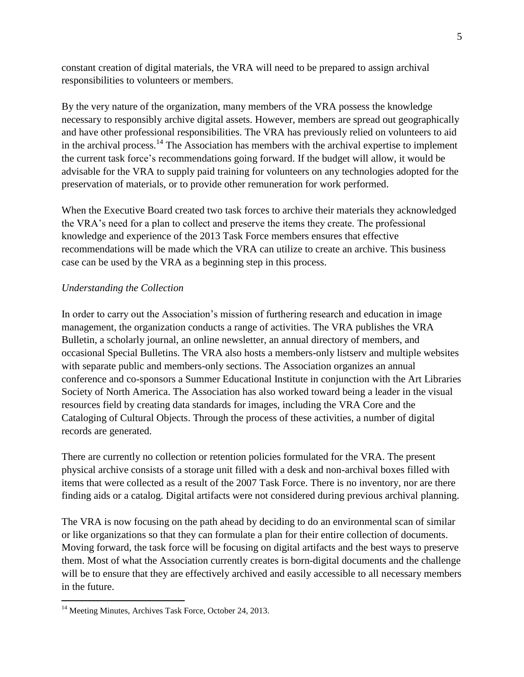constant creation of digital materials, the VRA will need to be prepared to assign archival responsibilities to volunteers or members.

By the very nature of the organization, many members of the VRA possess the knowledge necessary to responsibly archive digital assets. However, members are spread out geographically and have other professional responsibilities. The VRA has previously relied on volunteers to aid in the archival process.<sup>14</sup> The Association has members with the archival expertise to implement the current task force's recommendations going forward. If the budget will allow, it would be advisable for the VRA to supply paid training for volunteers on any technologies adopted for the preservation of materials, or to provide other remuneration for work performed.

When the Executive Board created two task forces to archive their materials they acknowledged the VRA's need for a plan to collect and preserve the items they create. The professional knowledge and experience of the 2013 Task Force members ensures that effective recommendations will be made which the VRA can utilize to create an archive. This business case can be used by the VRA as a beginning step in this process.

### <span id="page-7-0"></span>*Understanding the Collection*

In order to carry out the Association's mission of furthering research and education in image management, the organization conducts a range of activities. The VRA publishes the VRA Bulletin, a scholarly journal, an online newsletter, an annual directory of members, and occasional Special Bulletins. The VRA also hosts a members-only listserv and multiple websites with separate public and members-only sections. The Association organizes an annual conference and co-sponsors a Summer Educational Institute in conjunction with the Art Libraries Society of North America. The Association has also worked toward being a leader in the visual resources field by creating data standards for images, including the VRA Core and the Cataloging of Cultural Objects. Through the process of these activities, a number of digital records are generated.

There are currently no collection or retention policies formulated for the VRA. The present physical archive consists of a storage unit filled with a desk and non-archival boxes filled with items that were collected as a result of the 2007 Task Force. There is no inventory, nor are there finding aids or a catalog. Digital artifacts were not considered during previous archival planning.

The VRA is now focusing on the path ahead by deciding to do an environmental scan of similar or like organizations so that they can formulate a plan for their entire collection of documents. Moving forward, the task force will be focusing on digital artifacts and the best ways to preserve them. Most of what the Association currently creates is born-digital documents and the challenge will be to ensure that they are effectively archived and easily accessible to all necessary members in the future.

 $\overline{a}$ 

<sup>&</sup>lt;sup>14</sup> Meeting Minutes, Archives Task Force, October 24, 2013.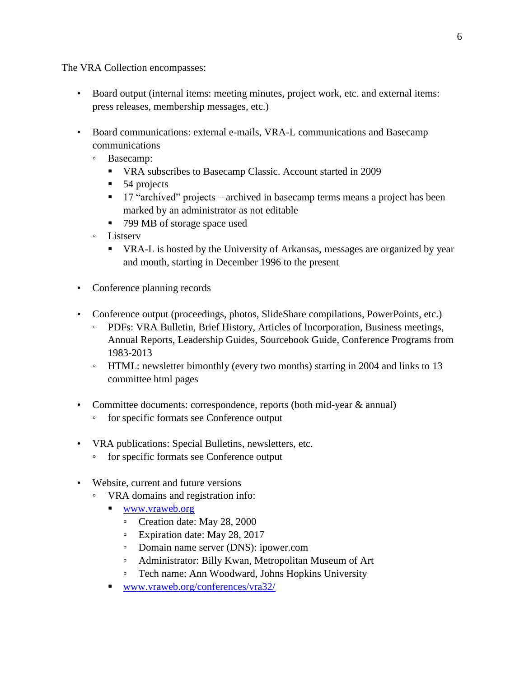The VRA Collection encompasses:

- Board output (internal items: meeting minutes, project work, etc. and external items: press releases, membership messages, etc.)
- Board communications: external e-mails, VRA-L communications and Basecamp communications
	- Basecamp:
		- VRA subscribes to Basecamp Classic. Account started in 2009
		- 54 projects
		- **17** "archived" projects archived in basecamp terms means a project has been marked by an administrator as not editable
		- 799 MB of storage space used
	- Listserv
		- VRA-L is hosted by the University of Arkansas, messages are organized by year and month, starting in December 1996 to the present
- Conference planning records
- Conference output (proceedings, photos, SlideShare compilations, PowerPoints, etc.)
	- PDFs: VRA Bulletin, Brief History, Articles of Incorporation, Business meetings, Annual Reports, Leadership Guides, Sourcebook Guide, Conference Programs from 1983-2013
	- HTML: newsletter bimonthly (every two months) starting in 2004 and links to 13 committee html pages
- Committee documents: correspondence, reports (both mid-year & annual)
	- for specific formats see Conference output
- VRA publications: Special Bulletins, newsletters, etc.
	- for specific formats see Conference output
- Website, current and future versions
	- VRA domains and registration info:
		- [www.vraweb.org](file:///C:/Users/Kate%20Coleman/Downloads/www.vraweb.org)
			- Creation date: May 28, 2000
			- Expiration date: May 28, 2017
			- Domain name server (DNS): ipower.com
			- Administrator: Billy Kwan, Metropolitan Museum of Art
			- Tech name: Ann Woodward, Johns Hopkins University
		- [www.vraweb.org/conferences/vra32/](file:///C:/Users/Kate%20Coleman/Downloads/www.vraweb.org/conferences/vra32/)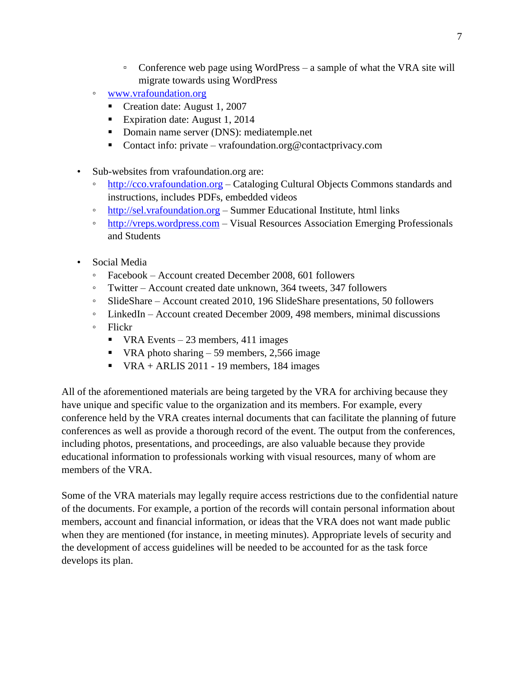- Conference web page using WordPress a sample of what the VRA site will migrate towards using WordPress
- [www.vrafoundation.org](file:///C:/Users/Kate%20Coleman/Downloads/www.vrafoundation.org)
	- Creation date: August 1, 2007
	- Expiration date: August 1, 2014
	- **Domain name server (DNS): mediatemple.net**
	- Contact info: private vrafoundation.org@contactprivacy.com
- Sub-websites from vrafoundation.org are:
	- [http://cco.vrafoundation.org](http://cco.vrafoundation.org/) Cataloging Cultural Objects Commons standards and instructions, includes PDFs, embedded videos
	- [http://sel.vrafoundation.org](http://sel.vrafoundation.org/) Summer Educational Institute, html links
	- [http://vreps.wordpress.com](http://vreps.wordpress.com/) Visual Resources Association Emerging Professionals and Students
- Social Media
	- Facebook Account created December 2008, 601 followers
	- Twitter Account created date unknown, 364 tweets, 347 followers
	- SlideShare Account created 2010, 196 SlideShare presentations, 50 followers
	- LinkedIn Account created December 2009, 498 members, minimal discussions
	- Flickr
		- $\blacksquare$  VRA Events 23 members, 411 images
		- VRA photo sharing  $-59$  members, 2,566 image
		- $\blacksquare$  VRA + ARLIS 2011 19 members, 184 images

All of the aforementioned materials are being targeted by the VRA for archiving because they have unique and specific value to the organization and its members. For example, every conference held by the VRA creates internal documents that can facilitate the planning of future conferences as well as provide a thorough record of the event. The output from the conferences, including photos, presentations, and proceedings, are also valuable because they provide educational information to professionals working with visual resources, many of whom are members of the VRA.

Some of the VRA materials may legally require access restrictions due to the confidential nature of the documents. For example, a portion of the records will contain personal information about members, account and financial information, or ideas that the VRA does not want made public when they are mentioned (for instance, in meeting minutes). Appropriate levels of security and the development of access guidelines will be needed to be accounted for as the task force develops its plan.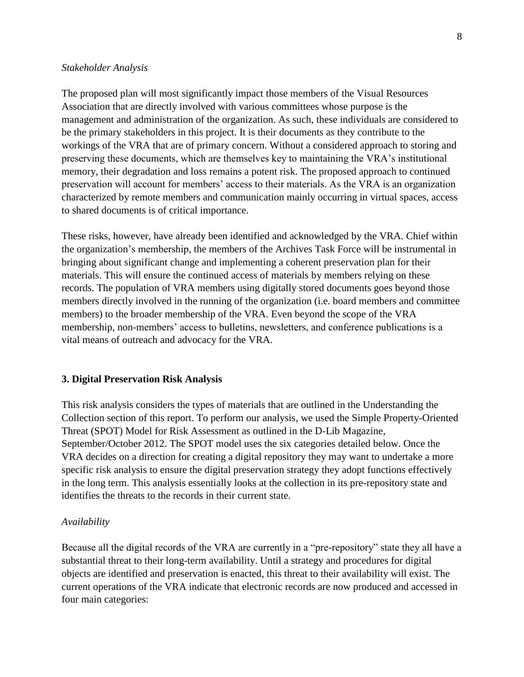#### <span id="page-10-0"></span>*Stakeholder Analysis*

The proposed plan will most significantly impact those members of the Visual Resources Association that are directly involved with various committees whose purpose is the management and administration of the organization. As such, these individuals are considered to be the primary stakeholders in this project. It is their documents as they contribute to the workings of the VRA that are of primary concern. Without a considered approach to storing and preserving these documents, which are themselves key to maintaining the VRA's institutional memory, their degradation and loss remains a potent risk. The proposed approach to continued preservation will account for members' access to their materials. As the VRA is an organization characterized by remote members and communication mainly occurring in virtual spaces, access to shared documents is of critical importance.

These risks, however, have already been identified and acknowledged by the VRA. Chief within the organization's membership, the members of the Archives Task Force will be instrumental in bringing about significant change and implementing a coherent preservation plan for their materials. This will ensure the continued access of materials by members relying on these records. The population of VRA members using digitally stored documents goes beyond those members directly involved in the running of the organization (i.e. board members and committee members) to the broader membership of the VRA. Even beyond the scope of the VRA membership, non-members' access to bulletins, newsletters, and conference publications is a vital means of outreach and advocacy for the VRA.

#### <span id="page-10-1"></span>**3. Digital Preservation Risk Analysis**

This risk analysis considers the types of materials that are outlined in the Understanding the Collection section of this report. To perform our analysis, we used the Simple Property-Oriented Threat (SPOT) Model for Risk Assessment as outlined in the D-Lib Magazine, September/October 2012. The SPOT model uses the six categories detailed below. Once the VRA decides on a direction for creating a digital repository they may want to undertake a more specific risk analysis to ensure the digital preservation strategy they adopt functions effectively in the long term. This analysis essentially looks at the collection in its pre-repository state and identifies the threats to the records in their current state.

#### <span id="page-10-2"></span>*Availability*

Because all the digital records of the VRA are currently in a "pre-repository" state they all have a substantial threat to their long-term availability. Until a strategy and procedures for digital objects are identified and preservation is enacted, this threat to their availability will exist. The current operations of the VRA indicate that electronic records are now produced and accessed in four main categories: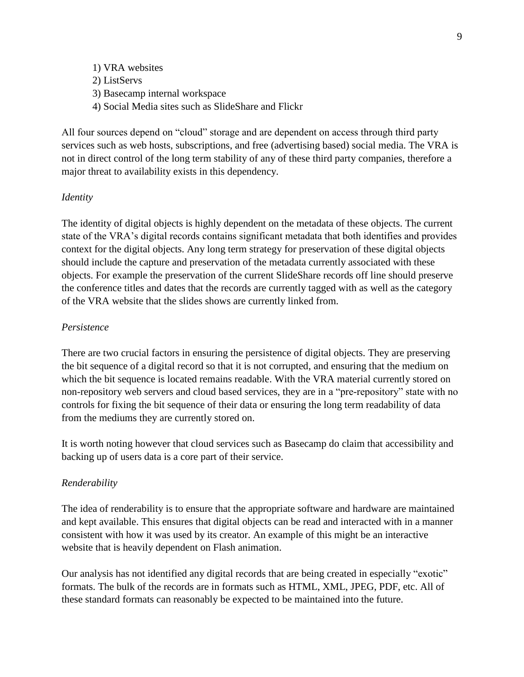1) VRA websites 2) ListServs 3) Basecamp internal workspace 4) Social Media sites such as SlideShare and Flickr

All four sources depend on "cloud" storage and are dependent on access through third party services such as web hosts, subscriptions, and free (advertising based) social media. The VRA is not in direct control of the long term stability of any of these third party companies, therefore a major threat to availability exists in this dependency.

#### <span id="page-11-0"></span>*Identity*

The identity of digital objects is highly dependent on the metadata of these objects. The current state of the VRA's digital records contains significant metadata that both identifies and provides context for the digital objects. Any long term strategy for preservation of these digital objects should include the capture and preservation of the metadata currently associated with these objects. For example the preservation of the current SlideShare records off line should preserve the conference titles and dates that the records are currently tagged with as well as the category of the VRA website that the slides shows are currently linked from.

#### <span id="page-11-1"></span>*Persistence*

There are two crucial factors in ensuring the persistence of digital objects. They are preserving the bit sequence of a digital record so that it is not corrupted, and ensuring that the medium on which the bit sequence is located remains readable. With the VRA material currently stored on non-repository web servers and cloud based services, they are in a "pre-repository" state with no controls for fixing the bit sequence of their data or ensuring the long term readability of data from the mediums they are currently stored on.

It is worth noting however that cloud services such as Basecamp do claim that accessibility and backing up of users data is a core part of their service.

#### <span id="page-11-2"></span>*Renderability*

The idea of renderability is to ensure that the appropriate software and hardware are maintained and kept available. This ensures that digital objects can be read and interacted with in a manner consistent with how it was used by its creator. An example of this might be an interactive website that is heavily dependent on Flash animation.

Our analysis has not identified any digital records that are being created in especially "exotic" formats. The bulk of the records are in formats such as HTML, XML, JPEG, PDF, etc. All of these standard formats can reasonably be expected to be maintained into the future.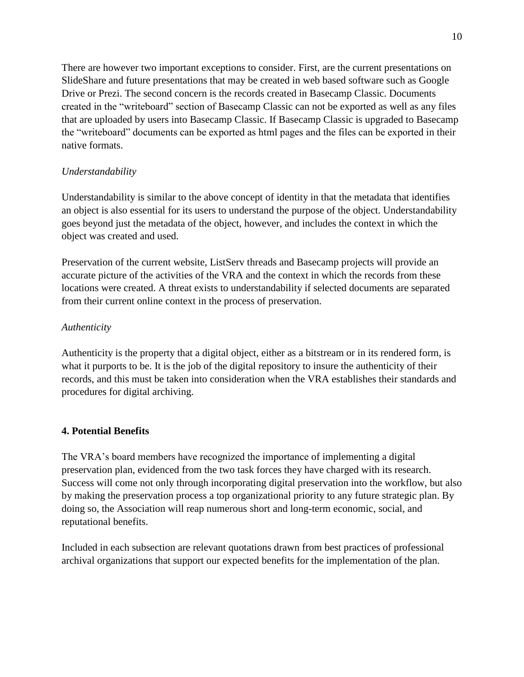There are however two important exceptions to consider. First, are the current presentations on SlideShare and future presentations that may be created in web based software such as Google Drive or Prezi. The second concern is the records created in Basecamp Classic. Documents created in the "writeboard" section of Basecamp Classic can not be exported as well as any files that are uploaded by users into Basecamp Classic. If Basecamp Classic is upgraded to Basecamp the "writeboard" documents can be exported as html pages and the files can be exported in their native formats.

## <span id="page-12-0"></span>*Understandability*

Understandability is similar to the above concept of identity in that the metadata that identifies an object is also essential for its users to understand the purpose of the object. Understandability goes beyond just the metadata of the object, however, and includes the context in which the object was created and used.

Preservation of the current website, ListServ threads and Basecamp projects will provide an accurate picture of the activities of the VRA and the context in which the records from these locations were created. A threat exists to understandability if selected documents are separated from their current online context in the process of preservation.

### <span id="page-12-1"></span>*Authenticity*

Authenticity is the property that a digital object, either as a bitstream or in its rendered form, is what it purports to be. It is the job of the digital repository to insure the authenticity of their records, and this must be taken into consideration when the VRA establishes their standards and procedures for digital archiving.

### <span id="page-12-2"></span>**4. Potential Benefits**

The VRA's board members have recognized the importance of implementing a digital preservation plan, evidenced from the two task forces they have charged with its research. Success will come not only through incorporating digital preservation into the workflow, but also by making the preservation process a top organizational priority to any future strategic plan. By doing so, the Association will reap numerous short and long-term economic, social, and reputational benefits.

Included in each subsection are relevant quotations drawn from best practices of professional archival organizations that support our expected benefits for the implementation of the plan.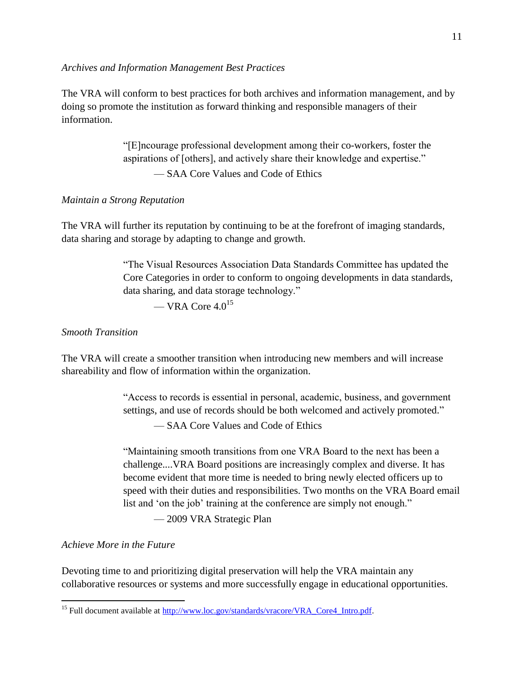#### <span id="page-13-0"></span>*Archives and Information Management Best Practices*

The VRA will conform to best practices for both archives and information management, and by doing so promote the institution as forward thinking and responsible managers of their information.

> "[E]ncourage professional development among their co-workers, foster the aspirations of [others], and actively share their knowledge and expertise." — SAA Core Values and Code of Ethics

#### <span id="page-13-1"></span>*Maintain a Strong Reputation*

The VRA will further its reputation by continuing to be at the forefront of imaging standards, data sharing and storage by adapting to change and growth.

> "The Visual Resources Association Data Standards Committee has updated the Core Categories in order to conform to ongoing developments in data standards, data sharing, and data storage technology."

— VRA Core  $4.0^{15}$ 

### <span id="page-13-2"></span>*Smooth Transition*

The VRA will create a smoother transition when introducing new members and will increase shareability and flow of information within the organization.

> "Access to records is essential in personal, academic, business, and government settings, and use of records should be both welcomed and actively promoted."

— SAA Core Values and Code of Ethics

"Maintaining smooth transitions from one VRA Board to the next has been a challenge....VRA Board positions are increasingly complex and diverse. It has become evident that more time is needed to bring newly elected officers up to speed with their duties and responsibilities. Two months on the VRA Board email list and 'on the job' training at the conference are simply not enough."

— 2009 VRA Strategic Plan

#### <span id="page-13-3"></span>*Achieve More in the Future*

 $\overline{a}$ 

Devoting time to and prioritizing digital preservation will help the VRA maintain any collaborative resources or systems and more successfully engage in educational opportunities.

<sup>&</sup>lt;sup>15</sup> Full document available at [http://www.loc.gov/standards/vracore/VRA\\_Core4\\_Intro.pdf.](http://www.loc.gov/standards/vracore/VRA_Core4_Intro.pdf)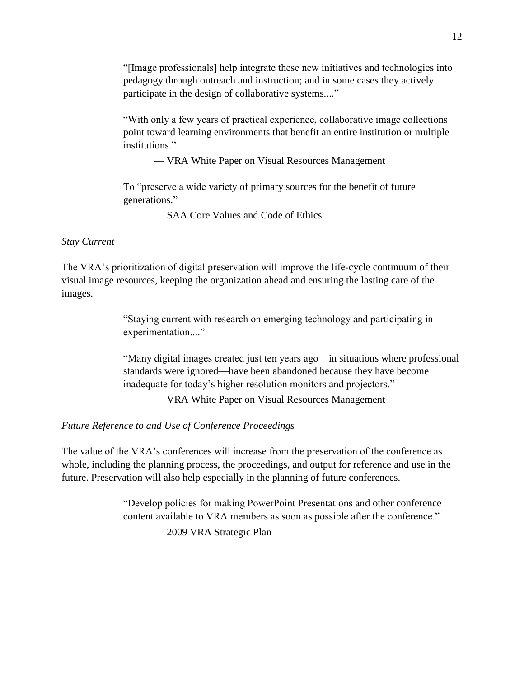"[Image professionals] help integrate these new initiatives and technologies into pedagogy through outreach and instruction; and in some cases they actively participate in the design of collaborative systems...."

"With only a few years of practical experience, collaborative image collections point toward learning environments that benefit an entire institution or multiple institutions."

— VRA White Paper on Visual Resources Management

To "preserve a wide variety of primary sources for the benefit of future generations."

— SAA Core Values and Code of Ethics

#### <span id="page-14-0"></span>*Stay Current*

The VRA's prioritization of digital preservation will improve the life-cycle continuum of their visual image resources, keeping the organization ahead and ensuring the lasting care of the images.

> "Staying current with research on emerging technology and participating in experimentation...."

"Many digital images created just ten years ago—in situations where professional standards were ignored—have been abandoned because they have become inadequate for today's higher resolution monitors and projectors."

— VRA White Paper on Visual Resources Management

### <span id="page-14-1"></span>*Future Reference to and Use of Conference Proceedings*

The value of the VRA's conferences will increase from the preservation of the conference as whole, including the planning process, the proceedings, and output for reference and use in the future. Preservation will also help especially in the planning of future conferences.

> "Develop policies for making PowerPoint Presentations and other conference content available to VRA members as soon as possible after the conference." — 2009 VRA Strategic Plan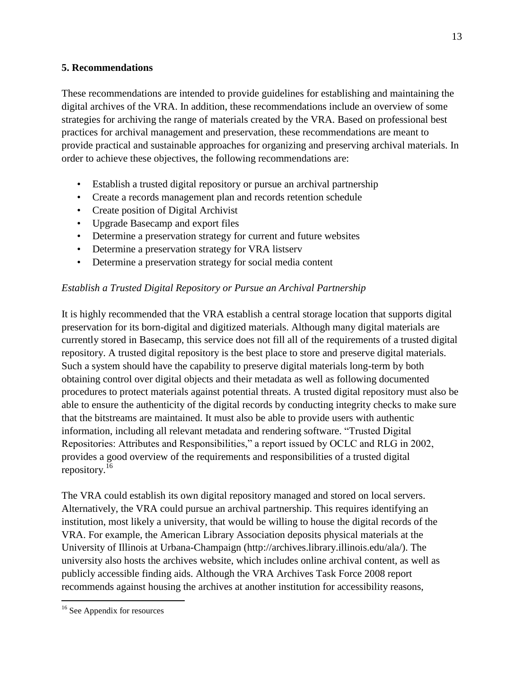### <span id="page-15-0"></span>**5. Recommendations**

These recommendations are intended to provide guidelines for establishing and maintaining the digital archives of the VRA. In addition, these recommendations include an overview of some strategies for archiving the range of materials created by the VRA. Based on professional best practices for archival management and preservation, these recommendations are meant to provide practical and sustainable approaches for organizing and preserving archival materials. In order to achieve these objectives, the following recommendations are:

- Establish a trusted digital repository or pursue an archival partnership
- Create a records management plan and records retention schedule
- Create position of Digital Archivist
- Upgrade Basecamp and export files
- Determine a preservation strategy for current and future websites
- Determine a preservation strategy for VRA listserv
- Determine a preservation strategy for social media content

### <span id="page-15-1"></span>*Establish a Trusted Digital Repository or Pursue an Archival Partnership*

It is highly recommended that the VRA establish a central storage location that supports digital preservation for its born-digital and digitized materials. Although many digital materials are currently stored in Basecamp, this service does not fill all of the requirements of a trusted digital repository. A trusted digital repository is the best place to store and preserve digital materials. Such a system should have the capability to preserve digital materials long-term by both obtaining control over digital objects and their metadata as well as following documented procedures to protect materials against potential threats. A trusted digital repository must also be able to ensure the authenticity of the digital records by conducting integrity checks to make sure that the bitstreams are maintained. It must also be able to provide users with authentic information, including all relevant metadata and rendering software. "Trusted Digital Repositories: Attributes and Responsibilities," a report issued by OCLC and RLG in 2002, provides a good overview of the requirements and responsibilities of a trusted digital repository.<sup>16</sup>

The VRA could establish its own digital repository managed and stored on local servers. Alternatively, the VRA could pursue an archival partnership. This requires identifying an institution, most likely a university, that would be willing to house the digital records of the VRA. For example, the American Library Association deposits physical materials at the University of Illinois at Urbana-Champaign (http://archives.library.illinois.edu/ala/). The university also hosts the archives website, which includes online archival content, as well as publicly accessible finding aids. Although the VRA Archives Task Force 2008 report recommends against housing the archives at another institution for accessibility reasons,

 $\overline{a}$ 

<sup>&</sup>lt;sup>16</sup> See Appendix for resources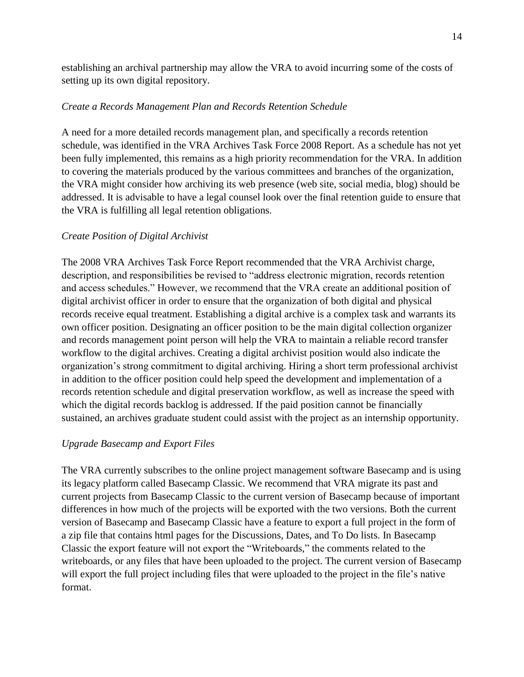establishing an archival partnership may allow the VRA to avoid incurring some of the costs of setting up its own digital repository.

### <span id="page-16-0"></span>*Create a Records Management Plan and Records Retention Schedule*

A need for a more detailed records management plan, and specifically a records retention schedule, was identified in the VRA Archives Task Force 2008 Report. As a schedule has not yet been fully implemented, this remains as a high priority recommendation for the VRA. In addition to covering the materials produced by the various committees and branches of the organization, the VRA might consider how archiving its web presence (web site, social media, blog) should be addressed. It is advisable to have a legal counsel look over the final retention guide to ensure that the VRA is fulfilling all legal retention obligations.

### <span id="page-16-1"></span>*Create Position of Digital Archivist*

The 2008 VRA Archives Task Force Report recommended that the VRA Archivist charge, description, and responsibilities be revised to "address electronic migration, records retention and access schedules." However, we recommend that the VRA create an additional position of digital archivist officer in order to ensure that the organization of both digital and physical records receive equal treatment. Establishing a digital archive is a complex task and warrants its own officer position. Designating an officer position to be the main digital collection organizer and records management point person will help the VRA to maintain a reliable record transfer workflow to the digital archives. Creating a digital archivist position would also indicate the organization's strong commitment to digital archiving. Hiring a short term professional archivist in addition to the officer position could help speed the development and implementation of a records retention schedule and digital preservation workflow, as well as increase the speed with which the digital records backlog is addressed. If the paid position cannot be financially sustained, an archives graduate student could assist with the project as an internship opportunity.

### <span id="page-16-2"></span>*Upgrade Basecamp and Export Files*

The VRA currently subscribes to the online project management software Basecamp and is using its legacy platform called Basecamp Classic. We recommend that VRA migrate its past and current projects from Basecamp Classic to the current version of Basecamp because of important differences in how much of the projects will be exported with the two versions. Both the current version of Basecamp and Basecamp Classic have a feature to export a full project in the form of a zip file that contains html pages for the Discussions, Dates, and To Do lists. In Basecamp Classic the export feature will not export the "Writeboards," the comments related to the writeboards, or any files that have been uploaded to the project. The current version of Basecamp will export the full project including files that were uploaded to the project in the file's native format.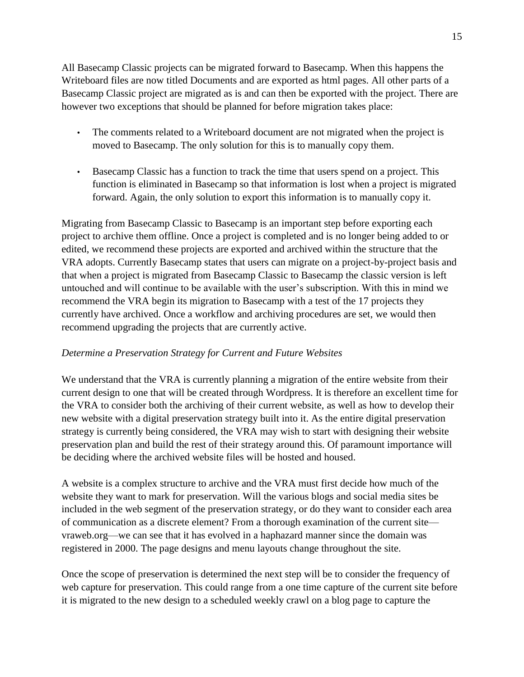All Basecamp Classic projects can be migrated forward to Basecamp. When this happens the Writeboard files are now titled Documents and are exported as html pages. All other parts of a Basecamp Classic project are migrated as is and can then be exported with the project. There are however two exceptions that should be planned for before migration takes place:

- The comments related to a Writeboard document are not migrated when the project is moved to Basecamp. The only solution for this is to manually copy them.
- Basecamp Classic has a function to track the time that users spend on a project. This function is eliminated in Basecamp so that information is lost when a project is migrated forward. Again, the only solution to export this information is to manually copy it.

Migrating from Basecamp Classic to Basecamp is an important step before exporting each project to archive them offline. Once a project is completed and is no longer being added to or edited, we recommend these projects are exported and archived within the structure that the VRA adopts. Currently Basecamp states that users can migrate on a project-by-project basis and that when a project is migrated from Basecamp Classic to Basecamp the classic version is left untouched and will continue to be available with the user's subscription. With this in mind we recommend the VRA begin its migration to Basecamp with a test of the 17 projects they currently have archived. Once a workflow and archiving procedures are set, we would then recommend upgrading the projects that are currently active.

### <span id="page-17-0"></span>*Determine a Preservation Strategy for Current and Future Websites*

We understand that the VRA is currently planning a migration of the entire website from their current design to one that will be created through Wordpress. It is therefore an excellent time for the VRA to consider both the archiving of their current website, as well as how to develop their new website with a digital preservation strategy built into it. As the entire digital preservation strategy is currently being considered, the VRA may wish to start with designing their website preservation plan and build the rest of their strategy around this. Of paramount importance will be deciding where the archived website files will be hosted and housed.

A website is a complex structure to archive and the VRA must first decide how much of the website they want to mark for preservation. Will the various blogs and social media sites be included in the web segment of the preservation strategy, or do they want to consider each area of communication as a discrete element? From a thorough examination of the current site vraweb.org—we can see that it has evolved in a haphazard manner since the domain was registered in 2000. The page designs and menu layouts change throughout the site.

Once the scope of preservation is determined the next step will be to consider the frequency of web capture for preservation. This could range from a one time capture of the current site before it is migrated to the new design to a scheduled weekly crawl on a blog page to capture the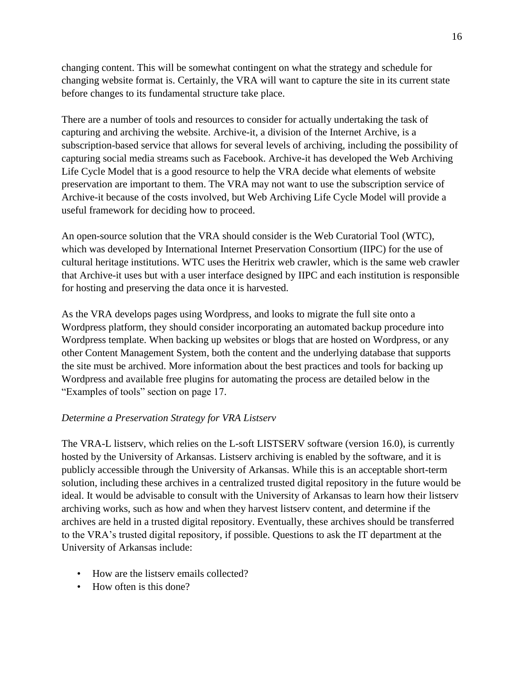changing content. This will be somewhat contingent on what the strategy and schedule for changing website format is. Certainly, the VRA will want to capture the site in its current state before changes to its fundamental structure take place.

There are a number of tools and resources to consider for actually undertaking the task of capturing and archiving the website. Archive-it, a division of the Internet Archive, is a subscription-based service that allows for several levels of archiving, including the possibility of capturing social media streams such as Facebook. Archive-it has developed the Web Archiving Life Cycle Model that is a good resource to help the VRA decide what elements of website preservation are important to them. The VRA may not want to use the subscription service of Archive-it because of the costs involved, but Web Archiving Life Cycle Model will provide a useful framework for deciding how to proceed.

An open-source solution that the VRA should consider is the Web Curatorial Tool (WTC), which was developed by International Internet Preservation Consortium (IIPC) for the use of cultural heritage institutions. WTC uses the Heritrix web crawler, which is the same web crawler that Archive-it uses but with a user interface designed by IIPC and each institution is responsible for hosting and preserving the data once it is harvested.

As the VRA develops pages using Wordpress, and looks to migrate the full site onto a Wordpress platform, they should consider incorporating an automated backup procedure into Wordpress template. When backing up websites or blogs that are hosted on Wordpress, or any other Content Management System, both the content and the underlying database that supports the site must be archived. More information about the best practices and tools for backing up Wordpress and available free plugins for automating the process are detailed below in the "Examples of tools" section on page 17.

### <span id="page-18-0"></span>*Determine a Preservation Strategy for VRA Listserv*

The VRA-L listserv, which relies on the L-soft LISTSERV software (version 16.0), is currently hosted by the University of Arkansas. Listserv archiving is enabled by the software, and it is publicly accessible through the University of Arkansas. While this is an acceptable short-term solution, including these archives in a centralized trusted digital repository in the future would be ideal. It would be advisable to consult with the University of Arkansas to learn how their listserv archiving works, such as how and when they harvest listserv content, and determine if the archives are held in a trusted digital repository. Eventually, these archives should be transferred to the VRA's trusted digital repository, if possible. Questions to ask the IT department at the University of Arkansas include:

- How are the listserv emails collected?
- How often is this done?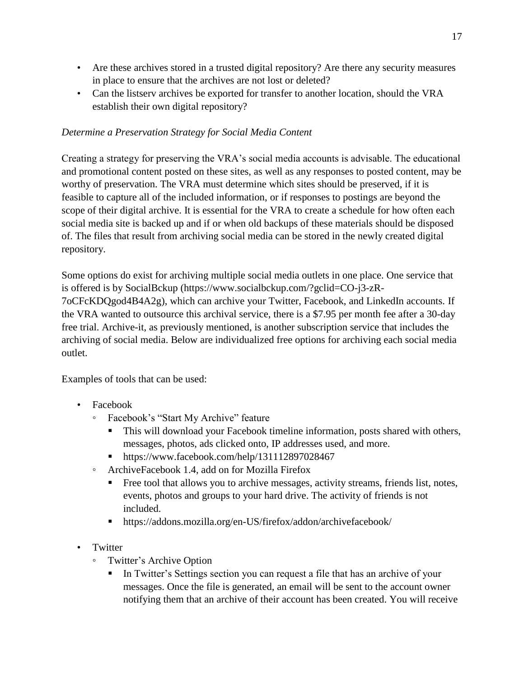- Are these archives stored in a trusted digital repository? Are there any security measures in place to ensure that the archives are not lost or deleted?
- Can the listserv archives be exported for transfer to another location, should the VRA establish their own digital repository?

# <span id="page-19-0"></span>*Determine a Preservation Strategy for Social Media Content*

Creating a strategy for preserving the VRA's social media accounts is advisable. The educational and promotional content posted on these sites, as well as any responses to posted content, may be worthy of preservation. The VRA must determine which sites should be preserved, if it is feasible to capture all of the included information, or if responses to postings are beyond the scope of their digital archive. It is essential for the VRA to create a schedule for how often each social media site is backed up and if or when old backups of these materials should be disposed of. The files that result from archiving social media can be stored in the newly created digital repository.

Some options do exist for archiving multiple social media outlets in one place. One service that is offered is by SocialBckup (https://www.socialbckup.com/?gclid=CO-j3-zR-7oCFcKDQgod4B4A2g), which can archive your Twitter, Facebook, and LinkedIn accounts. If the VRA wanted to outsource this archival service, there is a \$7.95 per month fee after a 30-day free trial. Archive-it, as previously mentioned, is another subscription service that includes the archiving of social media. Below are individualized free options for archiving each social media outlet.

Examples of tools that can be used:

- Facebook
	- Facebook's "Start My Archive" feature
		- This will download your Facebook timeline information, posts shared with others, messages, photos, ads clicked onto, IP addresses used, and more.
		- https://www.facebook.com/help/131112897028467
	- ArchiveFacebook 1.4, add on for Mozilla Firefox
		- Free tool that allows you to archive messages, activity streams, friends list, notes, events, photos and groups to your hard drive. The activity of friends is not included.
		- https://addons.mozilla.org/en-US/firefox/addon/archivefacebook/
- Twitter
	- Twitter's Archive Option
		- In Twitter's Settings section you can request a file that has an archive of your messages. Once the file is generated, an email will be sent to the account owner notifying them that an archive of their account has been created. You will receive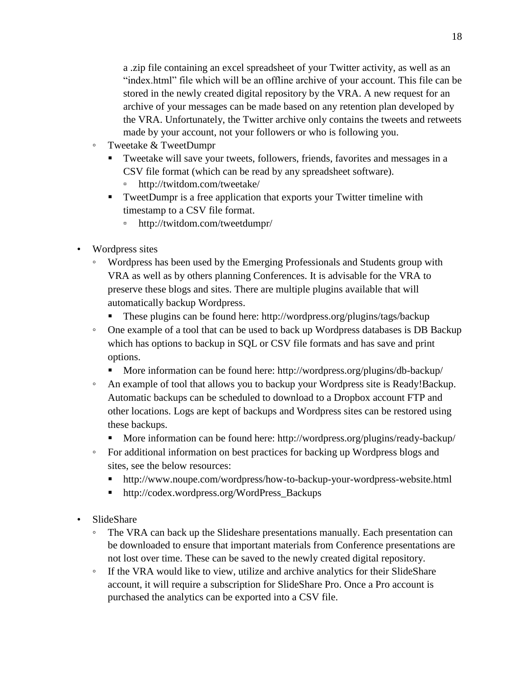a .zip file containing an excel spreadsheet of your Twitter activity, as well as an "index.html" file which will be an offline archive of your account. This file can be stored in the newly created digital repository by the VRA. A new request for an archive of your messages can be made based on any retention plan developed by the VRA. Unfortunately, the Twitter archive only contains the tweets and retweets made by your account, not your followers or who is following you.

- Tweetake & TweetDumpr
	- Tweetake will save your tweets, followers, friends, favorites and messages in a CSV file format (which can be read by any spreadsheet software).
		- http://twitdom.com/tweetake/
	- TweetDumpr is a free application that exports your Twitter timeline with timestamp to a CSV file format.
		- http://twitdom.com/tweetdumpr/
- Wordpress sites
	- Wordpress has been used by the Emerging Professionals and Students group with VRA as well as by others planning Conferences. It is advisable for the VRA to preserve these blogs and sites. There are multiple plugins available that will automatically backup Wordpress.
		- These plugins can be found here: http://wordpress.org/plugins/tags/backup
	- One example of a tool that can be used to back up Wordpress databases is DB Backup which has options to backup in SQL or CSV file formats and has save and print options.
		- More information can be found here: http://wordpress.org/plugins/db-backup/
	- An example of tool that allows you to backup your Wordpress site is Ready!Backup. Automatic backups can be scheduled to download to a Dropbox account FTP and other locations. Logs are kept of backups and Wordpress sites can be restored using these backups.
		- More information can be found here: http://wordpress.org/plugins/ready-backup/
	- For additional information on best practices for backing up Wordpress blogs and sites, see the below resources:
		- http://www.noupe.com/wordpress/how-to-backup-your-wordpress-website.html
		- http://codex.wordpress.org/WordPress\_Backups
- SlideShare
	- The VRA can back up the Slideshare presentations manually. Each presentation can be downloaded to ensure that important materials from Conference presentations are not lost over time. These can be saved to the newly created digital repository.
	- If the VRA would like to view, utilize and archive analytics for their SlideShare account, it will require a subscription for SlideShare Pro. Once a Pro account is purchased the analytics can be exported into a CSV file.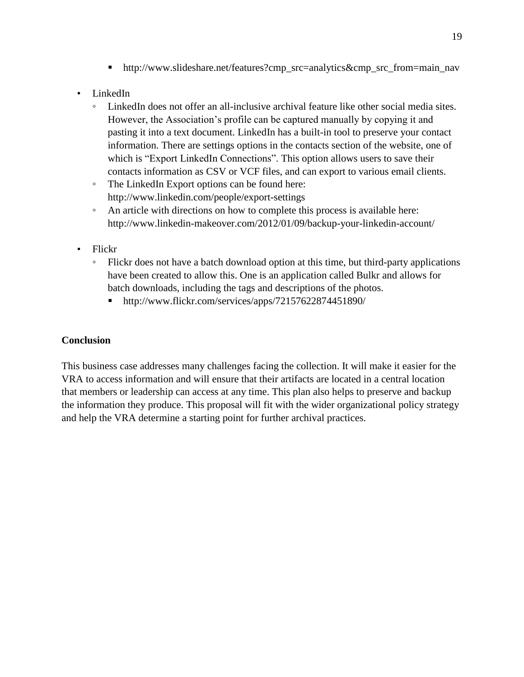- http://www.slideshare.net/features?cmp\_src=analytics&cmp\_src\_from=main\_nav
- LinkedIn
	- LinkedIn does not offer an all-inclusive archival feature like other social media sites. However, the Association's profile can be captured manually by copying it and pasting it into a text document. LinkedIn has a built-in tool to preserve your contact information. There are settings options in the contacts section of the website, one of which is "Export LinkedIn Connections". This option allows users to save their contacts information as CSV or VCF files, and can export to various email clients.
	- The LinkedIn Export options can be found here: http://www.linkedin.com/people/export-settings
	- An article with directions on how to complete this process is available here: http://www.linkedin-makeover.com/2012/01/09/backup-your-linkedin-account/
- Flickr
	- Flickr does not have a batch download option at this time, but third-party applications have been created to allow this. One is an application called Bulkr and allows for batch downloads, including the tags and descriptions of the photos.
		- http://www.flickr.com/services/apps/72157622874451890/

### <span id="page-21-0"></span>**Conclusion**

This business case addresses many challenges facing the collection. It will make it easier for the VRA to access information and will ensure that their artifacts are located in a central location that members or leadership can access at any time. This plan also helps to preserve and backup the information they produce. This proposal will fit with the wider organizational policy strategy and help the VRA determine a starting point for further archival practices.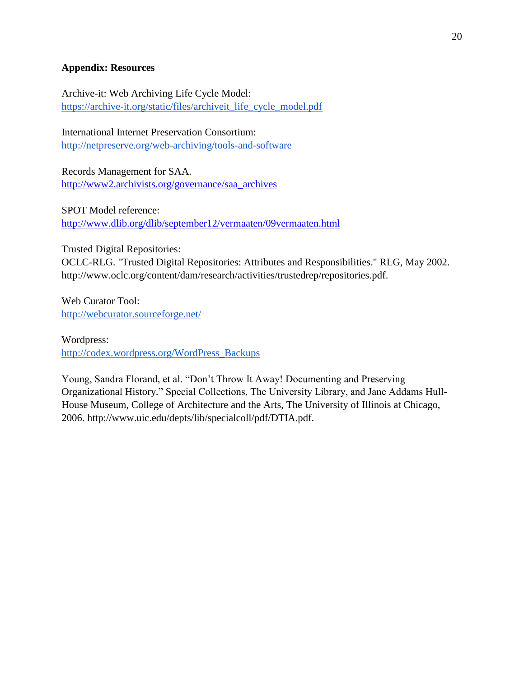### <span id="page-22-0"></span>**Appendix: Resources**

Archive-it: Web Archiving Life Cycle Model: [https://archive-it.org/static/files/archiveit\\_life\\_cycle\\_model.pdf](https://archive-it.org/static/files/archiveit_life_cycle_model.pdf)

International Internet Preservation Consortium: <http://netpreserve.org/web-archiving/tools-and-software>

Records Management for SAA. [http://www2.archivists.org/governance/saa\\_archives](http://www2.archivists.org/governance/saa_archives)

SPOT Model reference: <http://www.dlib.org/dlib/september12/vermaaten/09vermaaten.html>

Trusted Digital Repositories:

OCLC-RLG. "Trusted Digital Repositories: Attributes and Responsibilities." RLG, May 2002. http://www.oclc.org/content/dam/research/activities/trustedrep/repositories.pdf.

Web Curator Tool: <http://webcurator.sourceforge.net/>

Wordpress: [http://codex.wordpress.org/WordPress\\_Backups](http://codex.wordpress.org/WordPress_Backups)

Young, Sandra Florand, et al. "Don't Throw It Away! Documenting and Preserving Organizational History." Special Collections, The University Library, and Jane Addams Hull-House Museum, College of Architecture and the Arts, The University of Illinois at Chicago, 2006. http://www.uic.edu/depts/lib/specialcoll/pdf/DTIA.pdf.